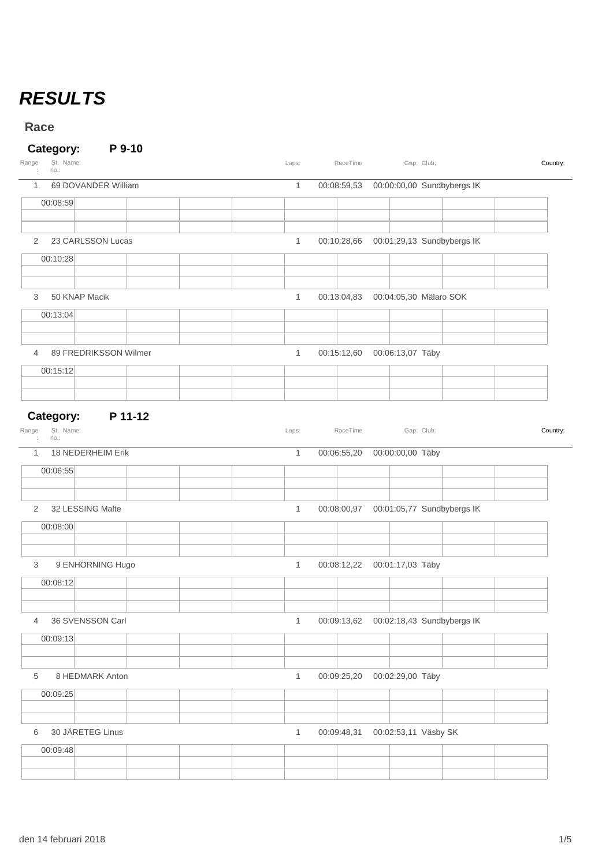## *RESULTS*

**Race**

#### **Category: P 9-10**

| Range<br>St. Name:<br>no.:                         | Laps:        | RaceTime    |                                      | Gap: Club:                                   | Country: |
|----------------------------------------------------|--------------|-------------|--------------------------------------|----------------------------------------------|----------|
| 69 DOVANDER William<br>$\mathbf{1}$                | $\mathbf{1}$ |             |                                      | 00:08:59,53  00:00:00,00 Sundbybergs IK      |          |
| 00:08:59                                           |              |             |                                      |                                              |          |
| 23 CARLSSON Lucas<br>2                             | $\mathbf{1}$ |             |                                      |                                              |          |
| 00:10:28                                           |              |             |                                      |                                              |          |
|                                                    |              |             |                                      |                                              |          |
| 50 KNAP Macik<br>3                                 | $\mathbf{1}$ |             | 00:13:04,83  00:04:05,30  Mälaro SOK |                                              |          |
| 00:13:04                                           |              |             |                                      |                                              |          |
|                                                    |              |             |                                      |                                              |          |
| 89 FREDRIKSSON Wilmer<br>4<br>00:15:12             | $\mathbf{1}$ |             | 00:15:12,60  00:06:13,07  Täby       |                                              |          |
|                                                    |              |             |                                      |                                              |          |
|                                                    |              |             |                                      |                                              |          |
| P 11-12<br>Category:<br>St. Name:<br>Range<br>no.: | Laps:        | RaceTime    |                                      | Gap: Club:                                   | Country: |
| 18 NEDERHEIM Erik<br>$\mathbf{1}$                  | $\mathbf{1}$ |             | 00:06:55,20 00:00:00,00 Täby         |                                              |          |
| 00:06:55                                           |              |             |                                      |                                              |          |
|                                                    |              |             |                                      |                                              |          |
| 2<br>32 LESSING Malte                              | $\mathbf{1}$ | 00:08:00,97 |                                      | 00:01:05,77 Sundbybergs IK                   |          |
| 00:08:00                                           |              |             |                                      |                                              |          |
| 9 ENHÖRNING Hugo<br>3                              | 1            |             | 00:08:12,22  00:01:17,03  Täby       |                                              |          |
| 00:08:12                                           |              |             |                                      |                                              |          |
| 4<br>36 SVENSSON Carl                              | 1            |             |                                      | 00:09:13,62    00:02:18,43    Sundbybergs IK |          |
| 00:09:13                                           |              |             |                                      |                                              |          |
|                                                    |              |             |                                      |                                              |          |
| 5<br>8 HEDMARK Anton<br>00:09:25                   | $\mathbf{1}$ | 00:09:25,20 | 00:02:29,00 Täby                     |                                              |          |
|                                                    |              |             |                                      |                                              |          |
| 30 JÄRETEG Linus<br>6                              | $\mathbf{1}$ | 00:09:48,31 | 00:02:53,11 Väsby SK                 |                                              |          |
| 00:09:48                                           |              |             |                                      |                                              |          |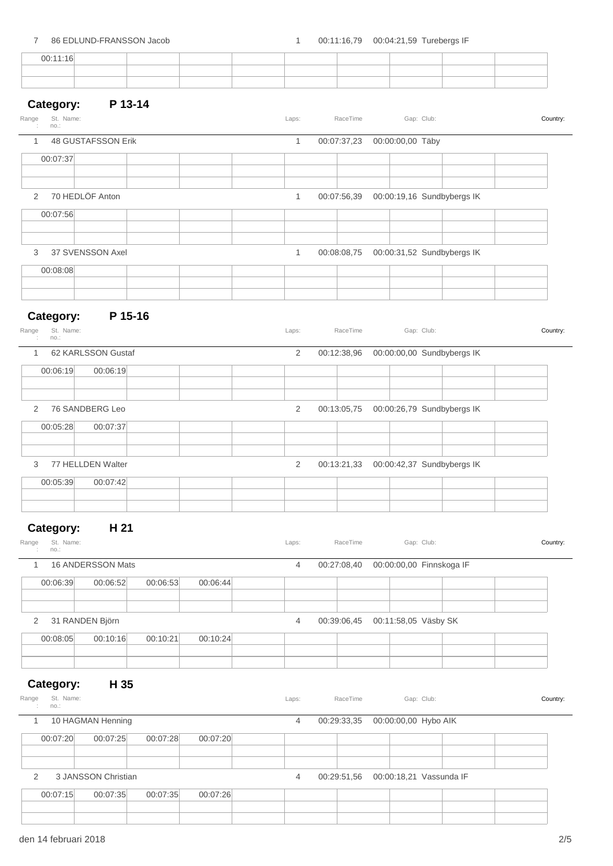| $\overline{7}$                  | 86 EDLUND-FRANSSON Jacob |          |          | 1              |             | 00:11:16,79   00:04:21,59   Turebergs IF |                            |          |
|---------------------------------|--------------------------|----------|----------|----------------|-------------|------------------------------------------|----------------------------|----------|
| 00:11:16                        |                          |          |          |                |             |                                          |                            |          |
|                                 |                          |          |          |                |             |                                          |                            |          |
|                                 |                          |          |          |                |             |                                          |                            |          |
| Category:<br>St. Name:<br>Range | P 13-14                  |          |          | Laps:          | RaceTime    |                                          | Gap: Club:                 | Country: |
| no.:                            |                          |          |          |                |             |                                          |                            |          |
| $\mathbf{1}$                    | 48 GUSTAFSSON Erik       |          |          | $\mathbf{1}$   |             | 00:07:37,23 00:00:00,00 Täby             |                            |          |
| 00:07:37                        |                          |          |          |                |             |                                          |                            |          |
|                                 |                          |          |          |                |             |                                          |                            |          |
| 2                               | 70 HEDLÖF Anton          |          |          | $\mathbf{1}$   | 00:07:56,39 |                                          | 00:00:19,16 Sundbybergs IK |          |
| 00:07:56                        |                          |          |          |                |             |                                          |                            |          |
|                                 |                          |          |          |                |             |                                          |                            |          |
| 3                               | 37 SVENSSON Axel         |          |          | $\mathbf{1}$   | 00:08:08,75 |                                          | 00:00:31,52 Sundbybergs IK |          |
| 00:08:08                        |                          |          |          |                |             |                                          |                            |          |
|                                 |                          |          |          |                |             |                                          |                            |          |
|                                 |                          |          |          |                |             |                                          |                            |          |
| Category:<br>Range<br>St. Name: | P 15-16                  |          |          | Laps:          | RaceTime    |                                          | Gap: Club:                 | Country: |
| no.:                            |                          |          |          |                |             |                                          |                            |          |
| $\mathbf{1}$                    | 62 KARLSSON Gustaf       |          |          | 2              | 00:12:38,96 |                                          | 00:00:00,00 Sundbybergs IK |          |
| 00:06:19                        | 00:06:19                 |          |          |                |             |                                          |                            |          |
|                                 |                          |          |          |                |             |                                          |                            |          |
| 2                               | 76 SANDBERG Leo          |          |          | 2              | 00:13:05,75 |                                          | 00:00:26,79 Sundbybergs IK |          |
| 00:05:28                        | 00:07:37                 |          |          |                |             |                                          |                            |          |
|                                 |                          |          |          |                |             |                                          |                            |          |
| 3                               | 77 HELLDEN Walter        |          |          | 2              | 00:13:21,33 |                                          | 00:00:42,37 Sundbybergs IK |          |
| 00:05:39                        | 00:07:42                 |          |          |                |             |                                          |                            |          |
|                                 |                          |          |          |                |             |                                          |                            |          |
|                                 |                          |          |          |                |             |                                          |                            |          |
| Category:                       | H 21                     |          |          |                |             |                                          |                            |          |
| St. Name:<br>Range<br>no.:<br>÷ |                          |          |          | Laps:          | RaceTime    |                                          | Gap: Club:                 | Country: |
| $\mathbf{1}$                    | 16 ANDERSSON Mats        |          |          | $\overline{4}$ | 00:27:08,40 |                                          | 00:00:00,00 Finnskoga IF   |          |
| 00:06:39                        | 00:06:52                 | 00:06:53 | 00:06:44 |                |             |                                          |                            |          |
|                                 |                          |          |          |                |             |                                          |                            |          |
| 2                               | 31 RANDEN Björn          |          |          | 4              |             | 00:39:06,45   00:11:58,05   Väsby SK     |                            |          |
| 00:08:05                        | 00:10:16                 | 00:10:21 | 00:10:24 |                |             |                                          |                            |          |
|                                 |                          |          |          |                |             |                                          |                            |          |
|                                 |                          |          |          |                |             |                                          |                            |          |
| Category:                       | H 35                     |          |          |                |             |                                          |                            |          |
| Range<br>St. Name:<br>no.:      |                          |          |          | Laps:          | RaceTime    |                                          | Gap: Club:                 | Country: |
| $\mathbf{1}$                    | 10 HAGMAN Henning        |          |          | 4              | 00:29:33,35 | 00:00:00,00 Hybo AIK                     |                            |          |
| 00:07:20                        | 00:07:25                 | 00:07:28 | 00:07:20 |                |             |                                          |                            |          |
|                                 |                          |          |          |                |             |                                          |                            |          |
| 2                               | 3 JANSSON Christian      |          |          | 4              | 00:29:51,56 |                                          | 00:00:18,21 Vassunda IF    |          |
| 00:07:15                        | 00:07:35                 | 00:07:35 | 00:07:26 |                |             |                                          |                            |          |
|                                 |                          |          |          |                |             |                                          |                            |          |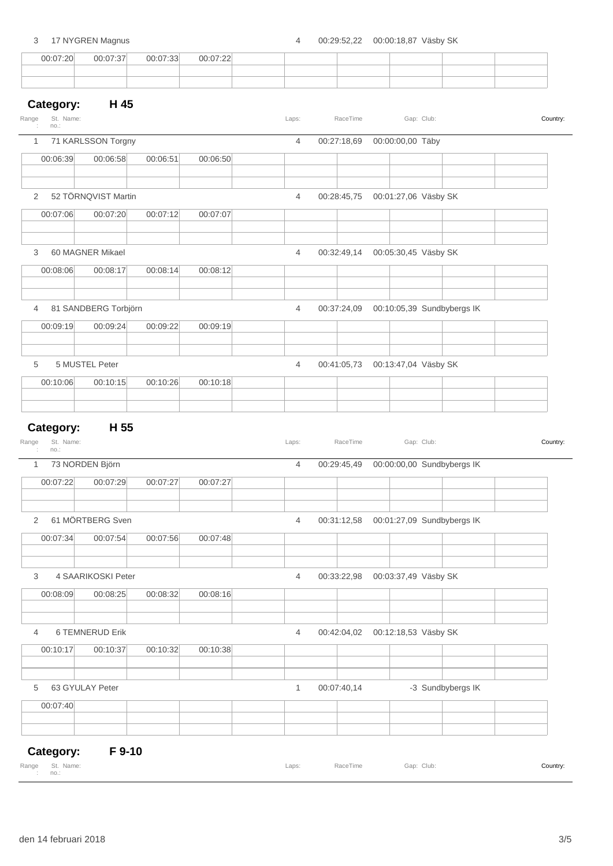### 3 17 NYGREN Magnus 4 00:29:52,22 00:00:18,87 Väsby SK 00:07:20 00:07:37 00:07:33 00:07:22 **Category: H 45** St. Name: no.: Range Name: Club: Laps: RaceTime Gap: Club: Country: 1 71 KARLSSON Torgny 4 00:27:18,69 00:00:00,00 Täby 00:06:39 00:06:58 00:06:51 00:06:50 2 52 TÖRNQVIST Martin 4 00:28:45,75 00:01:27,06 Väsby SK 00:07:06 00:07:20 00:07:12 00:07:07 3 60 MAGNER Mikael 4 00:32:49,14 00:05:30,45 Väsby SK 00:08:06 00:08:17 00:08:14 00:08:12 4 81 SANDBERG Torbjörn 4 00:37:24,09 00:10:05,39 Sundbybergs IK 00:09:19 00:09:24 00:09:22 00:09:19 5 5 MUSTEL Peter 4 00:41:05,73 00:13:47,04 Väsby SK 00:10:06 00:10:15 00:10:26 00:10:18 **Category: H 55** St. no.: Range Name: Club: 1 73 NORDEN Björn 4 00:29:45,49 00:00:00,00 Sundbybergs IK 00:07:22 00:07:29 00:07:27 00:07:27 2 61 MÖRTBERG Sven 4 00:31:12,58 00:01:27,09 Sundbybergs IK 00:07:34 00:07:54 00:07:56 00:07:48 3 4 SAARIKOSKI Peter 4 00:33:22,98 00:03:37,49 Väsby SK 00:08:09 00:08:25 00:08:32 00:08:16

4 6 TEMNERUD Erik 2014 1990 12:18,53 Väsby SK 00:10:17 00:10:37 00:10:32 00:10:38 5 63 GYULAY Peter 1 00:07:40,14 -3 Sundbybergs IK

# 00:07:40

#### **Category: F 9-10**

|                                                                            | Range St. Name: | Laps: | RaceTime Gap: Club: | Country |
|----------------------------------------------------------------------------|-----------------|-------|---------------------|---------|
| $\blacksquare$ $\blacksquare$ $\blacksquare$ $\blacksquare$ $\blacksquare$ |                 |       |                     |         |

| $\mathbf{Z}$ |                        | 52 TORNQVIST Martin  |          |          | 4              |             | 00:28:45,75 00:01:27,06 Vasby SK       |         |
|--------------|------------------------|----------------------|----------|----------|----------------|-------------|----------------------------------------|---------|
|              | 00:07:06               | 00:07:20             | 00:07:12 | 00:07:07 |                |             |                                        |         |
|              |                        |                      |          |          |                |             |                                        |         |
| 3            |                        | 60 MAGNER Mikael     |          |          | $\overline{4}$ |             | 00:32:49,14   00:05:30,45   Väsby SK   |         |
|              | 00:08:06               | 00:08:17             | 00:08:14 | 00:08:12 |                |             |                                        |         |
| 4            |                        | 81 SANDBERG Torbjörn |          |          | $\overline{4}$ | 00:37:24,09 | 00:10:05,39 Sundbybergs IK             |         |
|              | 00:09:19               | 00:09:24             | 00:09:22 | 00:09:19 |                |             |                                        |         |
| 5            |                        | 5 MUSTEL Peter       |          |          | 4              | 00:41:05.73 | 00:13:47,04 Väsby SK                   |         |
|              | 00:10:06               | 00:10:15             | 00:10:26 | 00:10:18 |                |             |                                        |         |
| nge          | Category:<br>St. Name: | H 55                 |          |          | Laps:          | RaceTime    | Gap: Club:                             | Country |
|              | no.:                   |                      |          |          |                |             |                                        |         |
| 1            |                        | 73 NORDEN Björn      |          |          | $\overline{4}$ | 00:29:45,49 | 00:00:00,00 Sundbybergs IK             |         |
|              | 00:07:22               | 00:07:29             | 00:07:27 | 00:07:27 |                |             |                                        |         |
| 2            |                        | 61 MÖRTBERG Sven     |          |          | $\overline{4}$ |             | 00:31:12,58 00:01:27,09 Sundbybergs IK |         |
|              | 00:07:34               | 00:07:54             | 00:07:56 | 00:07:48 |                |             |                                        |         |
|              |                        |                      |          |          |                |             |                                        |         |
| 3            |                        | 4 SAARIKOSKI Peter   |          |          | 4              | 00:33:22,98 | 00:03:37,49 Väsby SK                   |         |
|              | 00:08:09               | 00:08:25             | 00:08:32 | 00:08:16 |                |             |                                        |         |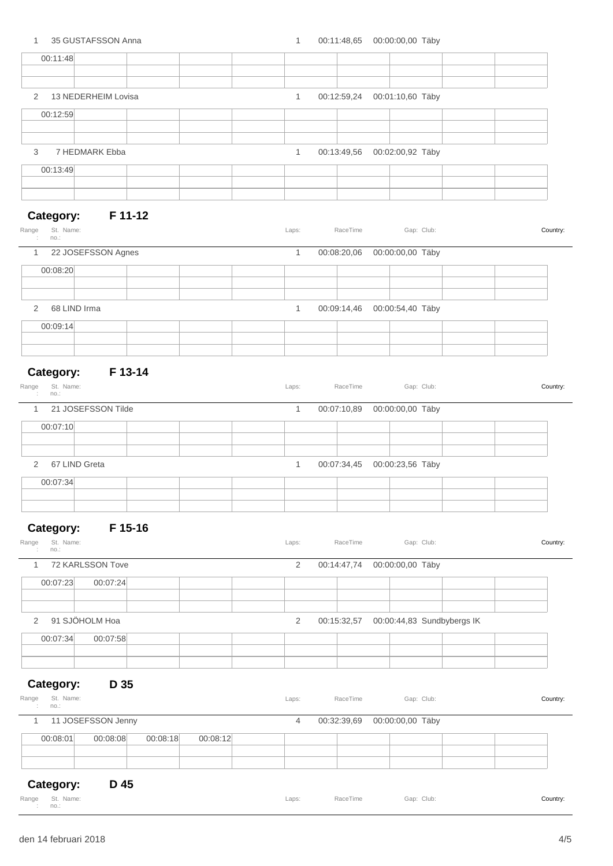| $\mathbf{1}$                                         | 35 GUSTAFSSON Anna  |          |          | $\mathbf{1}$   |             | 00:11:48,65 00:00:00,00 Täby     |                            |          |
|------------------------------------------------------|---------------------|----------|----------|----------------|-------------|----------------------------------|----------------------------|----------|
| 00:11:48                                             |                     |          |          |                |             |                                  |                            |          |
|                                                      |                     |          |          |                |             |                                  |                            |          |
| 2                                                    | 13 NEDERHEIM Lovisa |          |          | $\mathbf{1}$   |             | 00:12:59,24   00:01:10,60   Täby |                            |          |
| 00:12:59                                             |                     |          |          |                |             |                                  |                            |          |
|                                                      |                     |          |          |                |             |                                  |                            |          |
| 3                                                    | 7 HEDMARK Ebba      |          |          | $\mathbf{1}$   | 00:13:49,56 | 00:02:00,92 Täby                 |                            |          |
| 00:13:49                                             |                     |          |          |                |             |                                  |                            |          |
|                                                      |                     |          |          |                |             |                                  |                            |          |
|                                                      |                     |          |          |                |             |                                  |                            |          |
| Category:<br>St. Name:<br>Range<br>no.:              | <b>F</b> 11-12      |          |          | Laps:          | RaceTime    |                                  | Gap: Club:                 | Country: |
| $\mathbf{1}$                                         | 22 JOSEFSSON Agnes  |          |          | 1              | 00:08:20,06 | 00:00:00,00 Täby                 |                            |          |
| 00:08:20                                             |                     |          |          |                |             |                                  |                            |          |
|                                                      |                     |          |          |                |             |                                  |                            |          |
| 68 LIND Irma<br>$\overline{2}$                       |                     |          |          | 1              | 00:09:14,46 | 00:00:54,40 Täby                 |                            |          |
| 00:09:14                                             |                     |          |          |                |             |                                  |                            |          |
|                                                      |                     |          |          |                |             |                                  |                            |          |
|                                                      |                     |          |          |                |             |                                  |                            |          |
| Category: F 13-14<br>Range<br>St. Name:<br>÷<br>no.: |                     |          |          | Laps:          | RaceTime    |                                  | Gap: Club:                 | Country: |
| $\mathbf{1}$                                         | 21 JOSEFSSON Tilde  |          |          | $\mathbf{1}$   | 00:07:10,89 | 00:00:00,00 Täby                 |                            |          |
| 00:07:10                                             |                     |          |          |                |             |                                  |                            |          |
|                                                      |                     |          |          |                |             |                                  |                            |          |
| 67 LIND Greta<br>2                                   |                     |          |          | 1              | 00:07:34,45 | 00:00:23,56 Täby                 |                            |          |
| 00:07:34                                             |                     |          |          |                |             |                                  |                            |          |
|                                                      |                     |          |          |                |             |                                  |                            |          |
|                                                      |                     |          |          |                |             |                                  |                            |          |
| Category:                                            | F 15-16             |          |          |                |             |                                  |                            |          |
| St. Name:<br>Range<br>no.:                           |                     |          |          | Laps:          | RaceTime    |                                  | Gap: Club:                 | Country: |
| $\mathbf{1}$                                         | 72 KARLSSON Tove    |          |          | 2              | 00:14:47,74 | 00:00:00,00 Täby                 |                            |          |
| 00:07:23                                             | 00:07:24            |          |          |                |             |                                  |                            |          |
|                                                      |                     |          |          |                |             |                                  |                            |          |
| 2                                                    | 91 SJÖHOLM Hoa      |          |          | $\overline{2}$ | 00:15:32,57 |                                  | 00:00:44,83 Sundbybergs IK |          |
| 00:07:34                                             | 00:07:58            |          |          |                |             |                                  |                            |          |
|                                                      |                     |          |          |                |             |                                  |                            |          |
|                                                      |                     |          |          |                |             |                                  |                            |          |
| Category:                                            | D 35                |          |          |                |             |                                  |                            |          |
| St. Name:<br>Range<br>no.:                           |                     |          |          | Laps:          | RaceTime    |                                  | Gap: Club:                 | Country: |
| $\mathbf{1}$                                         | 11 JOSEFSSON Jenny  |          |          | $\overline{4}$ | 00:32:39,69 | 00:00:00,00 Täby                 |                            |          |
| 00:08:01                                             | 00:08:08            | 00:08:18 | 00:08:12 |                |             |                                  |                            |          |
|                                                      |                     |          |          |                |             |                                  |                            |          |
| Category:                                            | D 45                |          |          |                |             |                                  |                            |          |

|                                                                                                                                                                                                                                                                                                                                                                                                                                                                                            | Range St. Name: | Laps: RaceTime | Gap: Club: | Country |
|--------------------------------------------------------------------------------------------------------------------------------------------------------------------------------------------------------------------------------------------------------------------------------------------------------------------------------------------------------------------------------------------------------------------------------------------------------------------------------------------|-----------------|----------------|------------|---------|
| $\blacksquare$ $\blacksquare$ $\blacksquare$ $\blacksquare$ $\blacksquare$ $\blacksquare$ $\blacksquare$ $\blacksquare$ $\blacksquare$ $\blacksquare$ $\blacksquare$ $\blacksquare$ $\blacksquare$ $\blacksquare$ $\blacksquare$ $\blacksquare$ $\blacksquare$ $\blacksquare$ $\blacksquare$ $\blacksquare$ $\blacksquare$ $\blacksquare$ $\blacksquare$ $\blacksquare$ $\blacksquare$ $\blacksquare$ $\blacksquare$ $\blacksquare$ $\blacksquare$ $\blacksquare$ $\blacksquare$ $\blacks$ |                 |                |            |         |